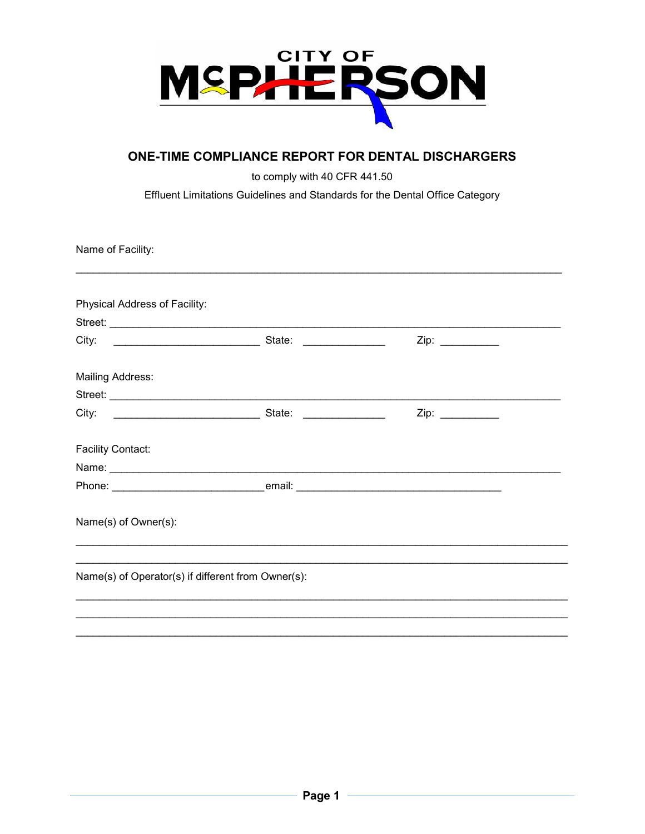

# ONE-TIME COMPLIANCE REPORT FOR DENTAL DISCHARGERS

to comply with 40 CFR 441.50

Effluent Limitations Guidelines and Standards for the Dental Office Category

Name of Facility:

| Physical Address of Facility:                      |      |  |
|----------------------------------------------------|------|--|
| City:                                              |      |  |
| <b>Mailing Address:</b>                            |      |  |
|                                                    |      |  |
|                                                    | Zip: |  |
| <b>Facility Contact:</b>                           |      |  |
|                                                    |      |  |
|                                                    |      |  |
| Name(s) of Owner(s):                               |      |  |
|                                                    |      |  |
| Name(s) of Operator(s) if different from Owner(s): |      |  |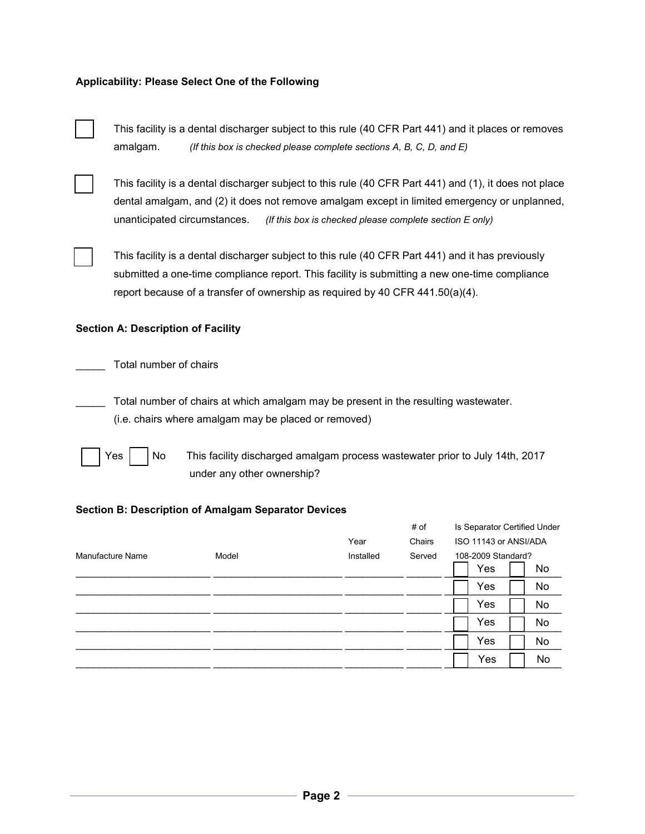# **Applicability: Please Select One of the Following**

This facility is a dental discharger subject to this rule (40 CFR Part 441) and it places or removes amalgam. *(If this box is checked please complete sections A, B, C, D, and E)* 



This facility is a dental discharger subject to this rule (40 CFR Part 441) and (1), it does not place dental amalgam, and (2) it does not remove amalgam except in limited emergency or unplanned, unanticipated circumstances. *(If this box is checked please complete section E only)*



This facility is a dental discharger subject to this rule (40 CFR Part 441) and it has previously submitted a one-time compliance report. This facility is submitting a new one-time compliance report because of a transfer of ownership as required by 40 CFR 441.50(a)(4).

#### **Section A: Description of Facility**

Total number of chairs

Total number of chairs at which amalgam may be present in the resulting wastewater. (i.e. chairs where amalgam may be placed or removed)



Yes | No This facility discharged amalgam process wastewater prior to July 14th, 2017 under any other ownership?

#### **Section B: Description of Amalgam Separator Devices**

|                  |       |           | # of   | Is Separator Certified Under |    |
|------------------|-------|-----------|--------|------------------------------|----|
|                  |       | Year      | Chairs | ISO 11143 or ANSI/ADA        |    |
| Manufacture Name | Model | Installed | Served | 108-2009 Standard?           |    |
|                  |       |           |        | Yes                          | No |
|                  |       |           |        | Yes                          | No |
|                  |       |           |        | Yes                          | No |
|                  |       |           |        | Yes                          | No |
|                  |       |           |        | Yes                          | No |
|                  |       |           |        | Yes                          | No |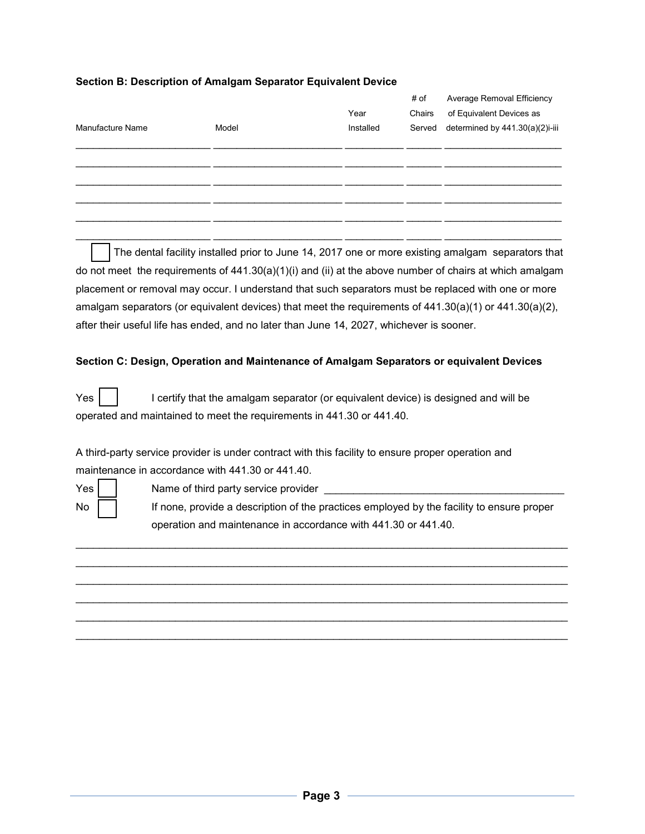# **Section B: Description of Amalgam Separator Equivalent Device**

| Manufacture Name | Model | Year<br>Installed | # of<br>Chairs | Average Removal Efficiency<br>of Equivalent Devices as<br>Served determined by 441.30(a)(2)i-iii |
|------------------|-------|-------------------|----------------|--------------------------------------------------------------------------------------------------|
|                  |       |                   |                |                                                                                                  |
|                  |       |                   |                |                                                                                                  |
|                  |       |                   |                |                                                                                                  |

The dental facility installed prior to June 14, 2017 one or more existing amalgam separators that do not meet the requirements of 441.30(a)(1)(i) and (ii) at the above number of chairs at which amalgam placement or removal may occur. I understand that such separators must be replaced with one or more amalgam separators (or equivalent devices) that meet the requirements of 441.30(a)(1) or 441.30(a)(2), after their useful life has ended, and no later than June 14, 2027, whichever is sooner.

\_\_\_\_\_\_\_\_\_\_\_\_\_\_\_\_\_\_\_\_\_\_\_ \_\_\_\_\_\_\_\_\_\_\_\_\_\_\_\_\_\_\_\_\_\_ \_\_\_\_\_\_\_\_\_\_ \_\_\_\_\_\_ \_\_\_\_\_\_\_\_\_\_\_\_\_\_\_\_\_\_\_\_

## **Section C: Design, Operation and Maintenance of Amalgam Separators or equivalent Devices**

Yes |  $\vert$  | certify that the amalgam separator (or equivalent device) is designed and will be operated and maintained to meet the requirements in 441.30 or 441.40.

A third-party service provider is under contract with this facility to ensure proper operation and maintenance in accordance with 441.30 or 441.40.

Yes | | Name of third party service provider

No  $\parallel$  | If none, provide a description of the practices employed by the facility to ensure proper operation and maintenance in accordance with 441.30 or 441.40.

\_\_\_\_\_\_\_\_\_\_\_\_\_\_\_\_\_\_\_\_\_\_\_\_\_\_\_\_\_\_\_\_\_\_\_\_\_\_\_\_\_\_\_\_\_\_\_\_\_\_\_\_\_\_\_\_\_\_\_\_\_\_\_\_\_\_\_\_\_\_\_\_\_\_\_\_\_\_\_\_\_\_\_\_ \_\_\_\_\_\_\_\_\_\_\_\_\_\_\_\_\_\_\_\_\_\_\_\_\_\_\_\_\_\_\_\_\_\_\_\_\_\_\_\_\_\_\_\_\_\_\_\_\_\_\_\_\_\_\_\_\_\_\_\_\_\_\_\_\_\_\_\_\_\_\_\_\_\_\_\_\_\_\_\_\_\_\_\_ \_\_\_\_\_\_\_\_\_\_\_\_\_\_\_\_\_\_\_\_\_\_\_\_\_\_\_\_\_\_\_\_\_\_\_\_\_\_\_\_\_\_\_\_\_\_\_\_\_\_\_\_\_\_\_\_\_\_\_\_\_\_\_\_\_\_\_\_\_\_\_\_\_\_\_\_\_\_\_\_\_\_\_\_ \_\_\_\_\_\_\_\_\_\_\_\_\_\_\_\_\_\_\_\_\_\_\_\_\_\_\_\_\_\_\_\_\_\_\_\_\_\_\_\_\_\_\_\_\_\_\_\_\_\_\_\_\_\_\_\_\_\_\_\_\_\_\_\_\_\_\_\_\_\_\_\_\_\_\_\_\_\_\_\_\_\_\_\_ \_\_\_\_\_\_\_\_\_\_\_\_\_\_\_\_\_\_\_\_\_\_\_\_\_\_\_\_\_\_\_\_\_\_\_\_\_\_\_\_\_\_\_\_\_\_\_\_\_\_\_\_\_\_\_\_\_\_\_\_\_\_\_\_\_\_\_\_\_\_\_\_\_\_\_\_\_\_\_\_\_\_\_\_ \_\_\_\_\_\_\_\_\_\_\_\_\_\_\_\_\_\_\_\_\_\_\_\_\_\_\_\_\_\_\_\_\_\_\_\_\_\_\_\_\_\_\_\_\_\_\_\_\_\_\_\_\_\_\_\_\_\_\_\_\_\_\_\_\_\_\_\_\_\_\_\_\_\_\_\_\_\_\_\_\_\_\_\_